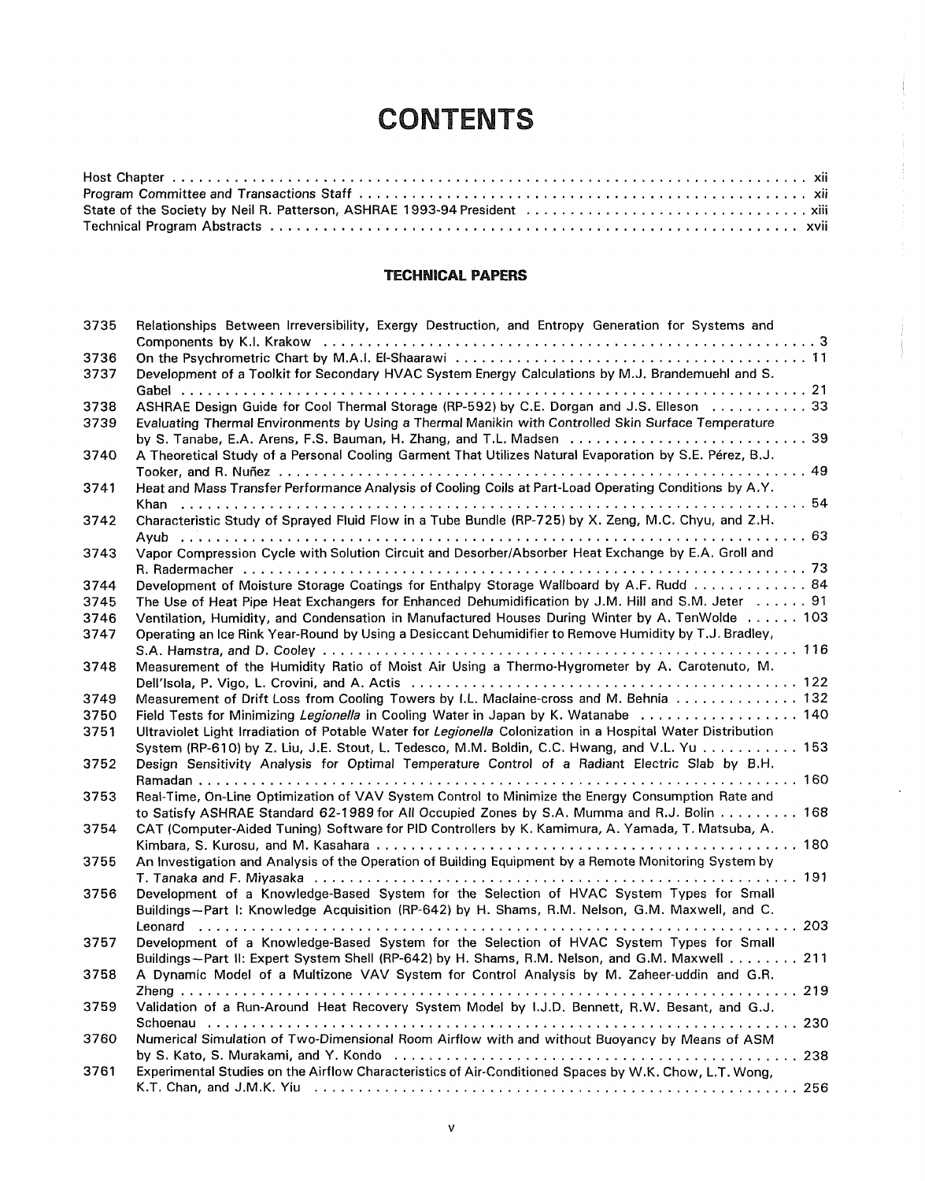## **CONTENTS**

## **TECHNICAL PAPERS**

| 3735 | Relationships Between Irreversibility, Exergy Destruction, and Entropy Generation for Systems and           |
|------|-------------------------------------------------------------------------------------------------------------|
|      |                                                                                                             |
| 3736 |                                                                                                             |
| 3737 | Development of a Toolkit for Secondary HVAC System Energy Calculations by M.J. Brandemuehl and S.           |
|      |                                                                                                             |
| 3738 | ASHRAE Design Guide for Cool Thermal Storage (RP-592) by C.E. Dorgan and J.S. Elleson  33                   |
| 3739 | Evaluating Thermal Environments by Using a Thermal Manikin with Controlled Skin Surface Temperature         |
|      | by S. Tanabe, E.A. Arens, F.S. Bauman, H. Zhang, and T.L. Madsen  39                                        |
| 3740 | A Theoretical Study of a Personal Cooling Garment That Utilizes Natural Evaporation by S.E. Pérez, B.J.     |
|      |                                                                                                             |
| 3741 | Heat and Mass Transfer Performance Analysis of Cooling Coils at Part-Load Operating Conditions by A.Y.      |
|      |                                                                                                             |
| 3742 | Characteristic Study of Sprayed Fluid Flow in a Tube Bundle (RP-725) by X. Zeng, M.C. Chyu, and Z.H.        |
| 3743 | Vapor Compression Cycle with Solution Circuit and Desorber/Absorber Heat Exchange by E.A. Groll and         |
|      |                                                                                                             |
| 3744 | Development of Moisture Storage Coatings for Enthalpy Storage Wallboard by A.F. Rudd 84                     |
| 3745 | The Use of Heat Pipe Heat Exchangers for Enhanced Dehumidification by J.M. Hill and S.M. Jeter 91           |
| 3746 | Ventilation, Humidity, and Condensation in Manufactured Houses During Winter by A. TenWolde 103             |
|      | Operating an Ice Rink Year-Round by Using a Desiccant Dehumidifier to Remove Humidity by T.J. Bradley,      |
| 3747 |                                                                                                             |
|      | Measurement of the Humidity Ratio of Moist Air Using a Thermo-Hygrometer by A. Carotenuto, M.               |
| 3748 |                                                                                                             |
|      |                                                                                                             |
| 3749 | Measurement of Drift Loss from Cooling Towers by I.L. Maclaine-cross and M. Behnia 132                      |
| 3750 | Field Tests for Minimizing Legionella in Cooling Water in Japan by K. Watanabe  140                         |
| 3751 | Ultraviolet Light Irradiation of Potable Water for Legionella Colonization in a Hospital Water Distribution |
|      | System (RP-610) by Z. Liu, J.E. Stout, L. Tedesco, M.M. Boldin, C.C. Hwang, and V.L. Yu  153                |
| 3752 | Design Sensitivity Analysis for Optimal Temperature Control of a Radiant Electric Slab by B.H.              |
|      |                                                                                                             |
| 3753 | Real-Time, On-Line Optimization of VAV System Control to Minimize the Energy Consumption Rate and           |
|      | to Satisfy ASHRAE Standard 62-1989 for All Occupied Zones by S.A. Mumma and R.J. Bolin 168                  |
| 3754 | CAT (Computer-Aided Tuning) Software for PID Controllers by K. Kamimura, A. Yamada, T. Matsuba, A.          |
|      |                                                                                                             |
| 3755 | An Investigation and Analysis of the Operation of Building Equipment by a Remote Monitoring System by       |
|      |                                                                                                             |
| 3756 | Development of a Knowledge-Based System for the Selection of HVAC System Types for Small                    |
|      | Buildings-Part I: Knowledge Acquisition (RP-642) by H. Shams, R.M. Nelson, G.M. Maxwell, and C.             |
|      |                                                                                                             |
| 3757 | Development of a Knowledge-Based System for the Selection of HVAC System Types for Small                    |
|      | Buildings-Part II: Expert System Shell (RP-642) by H. Shams, R.M. Nelson, and G.M. Maxwell 211              |
| 3758 | A Dynamic Model of a Multizone VAV System for Control Analysis by M. Zaheer-uddin and G.R.                  |
| 3759 | Validation of a Run-Around Heat Recovery System Model by I.J.D. Bennett, R.W. Besant, and G.J.              |
|      |                                                                                                             |
| 3760 | Numerical Simulation of Two-Dimensional Room Airflow with and without Buoyancy by Means of ASM              |
|      |                                                                                                             |
| 3761 | Experimental Studies on the Airflow Characteristics of Air-Conditioned Spaces by W.K. Chow, L.T. Wong,      |
|      |                                                                                                             |
|      |                                                                                                             |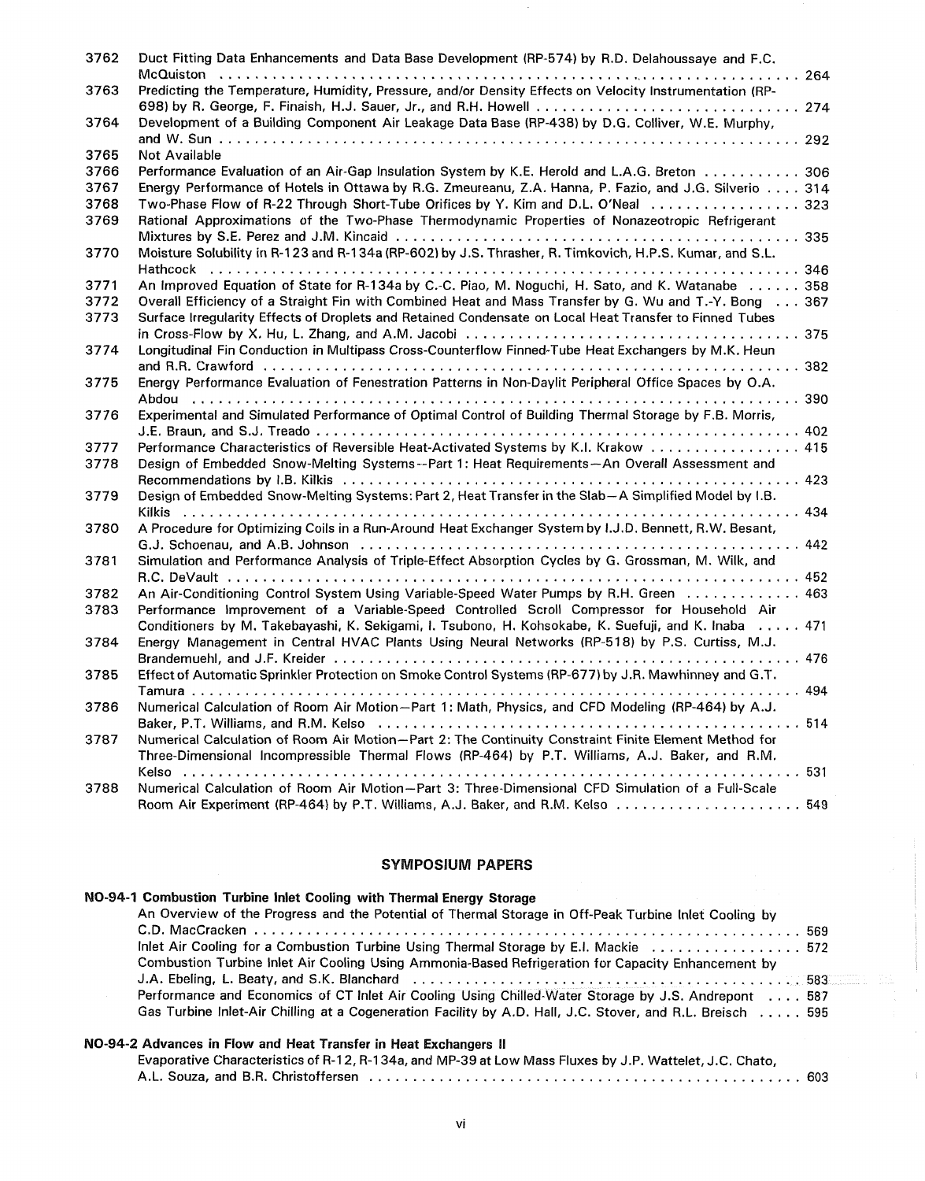| 3762         | Duct Fitting Data Enhancements and Data Base Development (RP-574) by R.D. Delahoussaye and F.C.                                                                                     |
|--------------|-------------------------------------------------------------------------------------------------------------------------------------------------------------------------------------|
| 3763         | Predicting the Temperature, Humidity, Pressure, and/or Density Effects on Velocity Instrumentation (RP-<br>698) by R. George, F. Finaish, H.J. Sauer, Jr., and R.H. Howell  274     |
| 3764         | Development of a Building Component Air Leakage Data Base (RP-438) by D.G. Colliver, W.E. Murphy,                                                                                   |
| 3765         | <b>Not Available</b>                                                                                                                                                                |
| 3766         | Performance Evaluation of an Air-Gap Insulation System by K.E. Herold and L.A.G. Breton 306                                                                                         |
| 3767         | Energy Performance of Hotels in Ottawa by R.G. Zmeureanu, Z.A. Hanna, P. Fazio, and J.G. Silverio 314                                                                               |
| 3768         | Two-Phase Flow of R-22 Through Short-Tube Orifices by Y. Kim and D.L. O'Neal  323                                                                                                   |
| 3769         | Rational Approximations of the Two-Phase Thermodynamic Properties of Nonazeotropic Refrigerant                                                                                      |
| 3770         | Moisture Solubility in R-123 and R-134a (RP-602) by J.S. Thrasher, R. Timkovich, H.P.S. Kumar, and S.L.                                                                             |
| 3771         | An Improved Equation of State for R-134a by C.-C. Piao, M. Noguchi, H. Sato, and K. Watanabe 358                                                                                    |
| 3772         | Overall Efficiency of a Straight Fin with Combined Heat and Mass Transfer by G. Wu and T.-Y. Bong 367                                                                               |
| 3773         | Surface Irregularity Effects of Droplets and Retained Condensate on Local Heat Transfer to Finned Tubes                                                                             |
|              |                                                                                                                                                                                     |
| 3774         | Longitudinal Fin Conduction in Multipass Cross-Counterflow Finned-Tube Heat Exchangers by M.K. Heun                                                                                 |
| 3775         | Energy Performance Evaluation of Fenestration Patterns in Non-Daylit Peripheral Office Spaces by O.A.                                                                               |
|              |                                                                                                                                                                                     |
| 3776         | Experimental and Simulated Performance of Optimal Control of Building Thermal Storage by F.B. Morris,                                                                               |
|              |                                                                                                                                                                                     |
| 3777<br>3778 | Performance Characteristics of Reversible Heat-Activated Systems by K.I. Krakow 415<br>Design of Embedded Snow-Melting Systems--Part 1: Heat Requirements-An Overall Assessment and |
|              |                                                                                                                                                                                     |
| 3779         | Design of Embedded Snow-Melting Systems: Part 2, Heat Transfer in the Slab-A Simplified Model by I.B.                                                                               |
| 3780         | A Procedure for Optimizing Coils in a Run-Around Heat Exchanger System by I.J.D. Bennett, R.W. Besant,                                                                              |
|              |                                                                                                                                                                                     |
| 3781         | Simulation and Performance Analysis of Triple-Effect Absorption Cycles by G. Grossman, M. Wilk, and                                                                                 |
|              |                                                                                                                                                                                     |
| 3782         | An Air-Conditioning Control System Using Variable-Speed Water Pumps by R.H. Green  463                                                                                              |
| 3783         | Performance Improvement of a Variable-Speed Controlled Scroll Compressor for Household Air                                                                                          |
|              | Conditioners by M. Takebayashi, K. Sekigami, I. Tsubono, H. Kohsokabe, K. Suefuji, and K. Inaba 471                                                                                 |
| 3784         | Energy Management in Central HVAC Plants Using Neural Networks (RP-518) by P.S. Curtiss, M.J.                                                                                       |
| 3785         | Effect of Automatic Sprinkler Protection on Smoke Control Systems (RP-677) by J.R. Mawhinney and G.T.                                                                               |
|              |                                                                                                                                                                                     |
| 3786         | Numerical Calculation of Room Air Motion-Part 1: Math, Physics, and CFD Modeling (RP-464) by A.J.                                                                                   |
|              |                                                                                                                                                                                     |
| 3787         | Numerical Calculation of Room Air Motion-Part 2: The Continuity Constraint Finite Element Method for                                                                                |
|              | Three-Dimensional Incompressible Thermal Flows (RP-464) by P.T. Williams, A.J. Baker, and R.M.                                                                                      |
|              | Numerical Calculation of Room Air Motion-Part 3: Three-Dimensional CFD Simulation of a Full-Scale                                                                                   |
| 3788         | Room Air Experiment (RP-464) by P.T. Williams, A.J. Baker, and R.M. Kelso  549                                                                                                      |
|              |                                                                                                                                                                                     |

## **SYMPOSIUM PAPERS**

| NO-94-1 Combustion Turbine Inlet Cooling with Thermal Energy Storage                                                          |  |
|-------------------------------------------------------------------------------------------------------------------------------|--|
| An Overview of the Progress and the Potential of Thermal Storage in Off-Peak Turbine Inlet Cooling by                         |  |
|                                                                                                                               |  |
| Inlet Air Cooling for a Combustion Turbine Using Thermal Storage by E.I. Mackie  572                                          |  |
| Combustion Turbine Inlet Air Cooling Using Ammonia-Based Refrigeration for Capacity Enhancement by                            |  |
| J.A. Ebeling, L. Beaty, and S.K. Blanchard et al., with contact the contract of the St. Section of the St. Section of the St. |  |
| Performance and Economics of CT Inlet Air Cooling Using Chilled-Water Storage by J.S. Andrepont 587                           |  |
| Gas Turbine Inlet-Air Chilling at a Cogeneration Facility by A.D. Hall, J.C. Stover, and R.L. Breisch 595                     |  |
|                                                                                                                               |  |

## **NO-94-2 Advances in Flow and Heat Transfer in Heat Exchangers** II

Evaporative Characteristics of R-12, R-134a, and MP-39 at Low Mass Fluxes by J.P. Wattelet, J.C. Chato,

A.L. Souza, and B.R. Christoffersen ................................................. 603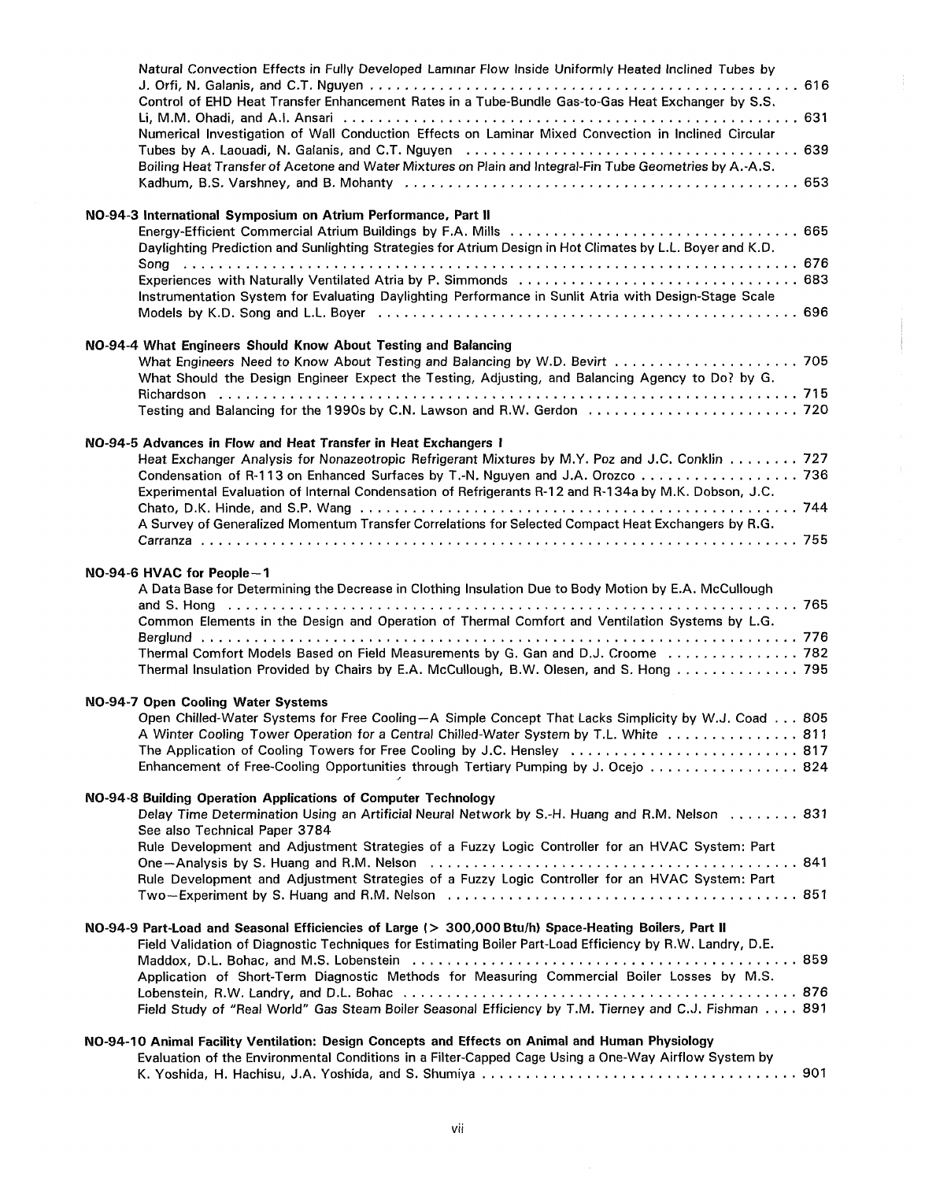| Natural Convection Effects in Fully Developed Laminar Flow Inside Uniformly Heated Inclined Tubes by<br>Control of EHD Heat Transfer Enhancement Rates in a Tube-Bundle Gas-to-Gas Heat Exchanger by S.S.                                                                                                                                                                                                           |  |
|---------------------------------------------------------------------------------------------------------------------------------------------------------------------------------------------------------------------------------------------------------------------------------------------------------------------------------------------------------------------------------------------------------------------|--|
| Numerical Investigation of Wall Conduction Effects on Laminar Mixed Convection in Inclined Circular                                                                                                                                                                                                                                                                                                                 |  |
| Boiling Heat Transfer of Acetone and Water Mixtures on Plain and Integral-Fin Tube Geometries by A.-A.S.                                                                                                                                                                                                                                                                                                            |  |
| NO-94-3 International Symposium on Atrium Performance, Part II<br>Daylighting Prediction and Sunlighting Strategies for Atrium Design in Hot Climates by L.L. Boyer and K.D.                                                                                                                                                                                                                                        |  |
| Experiences with Naturally Ventilated Atria by P. Simmonds  683<br>Instrumentation System for Evaluating Daylighting Performance in Sunlit Atria with Design-Stage Scale                                                                                                                                                                                                                                            |  |
| NO-94-4 What Engineers Should Know About Testing and Balancing<br>What Engineers Need to Know About Testing and Balancing by W.D. Bevirt  705<br>What Should the Design Engineer Expect the Testing, Adjusting, and Balancing Agency to Do? by G.                                                                                                                                                                   |  |
| Testing and Balancing for the 1990s by C.N. Lawson and R.W. Gerdon  720                                                                                                                                                                                                                                                                                                                                             |  |
| NO-94-5 Advances in Flow and Heat Transfer in Heat Exchangers I<br>Heat Exchanger Analysis for Nonazeotropic Refrigerant Mixtures by M.Y. Poz and J.C. Conklin 727<br>Condensation of R-113 on Enhanced Surfaces by T.-N. Nguyen and J.A. Orozco 736<br>Experimental Evaluation of Internal Condensation of Refrigerants R-12 and R-134a by M.K. Dobson, J.C.                                                       |  |
| A Survey of Generalized Momentum Transfer Correlations for Selected Compact Heat Exchangers by R.G.                                                                                                                                                                                                                                                                                                                 |  |
| NO-94-6 HVAC for People-1<br>A Data Base for Determining the Decrease in Clothing Insulation Due to Body Motion by E.A. McCullough<br>Common Elements in the Design and Operation of Thermal Comfort and Ventilation Systems by L.G.<br>Thermal Comfort Models Based on Field Measurements by G. Gan and D.J. Croome  782<br>Thermal Insulation Provided by Chairs by E.A. McCullough, B.W. Olesen, and S. Hong 795 |  |
| NO-94-7 Open Cooling Water Systems<br>Open Chilled-Water Systems for Free Cooling-A Simple Concept That Lacks Simplicity by W.J. Coad 805<br>A Winter Cooling Tower Operation for a Central Chilled-Water System by T.L. White  811<br>The Application of Cooling Towers for Free Cooling by J.C. Hensley  817<br>Enhancement of Free-Cooling Opportunities through Tertiary Pumping by J. Ocejo  824               |  |
| NO-94-8 Building Operation Applications of Computer Technology<br>Delay Time Determination Using an Artificial Neural Network by S.-H. Huang and R.M. Nelson  831<br>See also Technical Paper 3784                                                                                                                                                                                                                  |  |
| Rule Development and Adjustment Strategies of a Fuzzy Logic Controller for an HVAC System: Part<br>Rule Development and Adjustment Strategies of a Fuzzy Logic Controller for an HVAC System: Part                                                                                                                                                                                                                  |  |
| NO-94-9 Part-Load and Seasonal Efficiencies of Large (> 300,000 Btu/h) Space-Heating Boilers, Part II<br>Field Validation of Diagnostic Techniques for Estimating Boiler Part-Load Efficiency by R.W. Landry, D.E.<br>Application of Short-Term Diagnostic Methods for Measuring Commercial Boiler Losses by M.S.                                                                                                   |  |
| Field Study of "Real World" Gas Steam Boiler Seasonal Efficiency by T.M. Tierney and C.J. Fishman 891                                                                                                                                                                                                                                                                                                               |  |
| NO-94-10 Animal Facility Ventilation: Design Concepts and Effects on Animal and Human Physiology<br>Evaluation of the Environmental Conditions in a Filter-Capped Cage Using a One-Way Airflow System by                                                                                                                                                                                                            |  |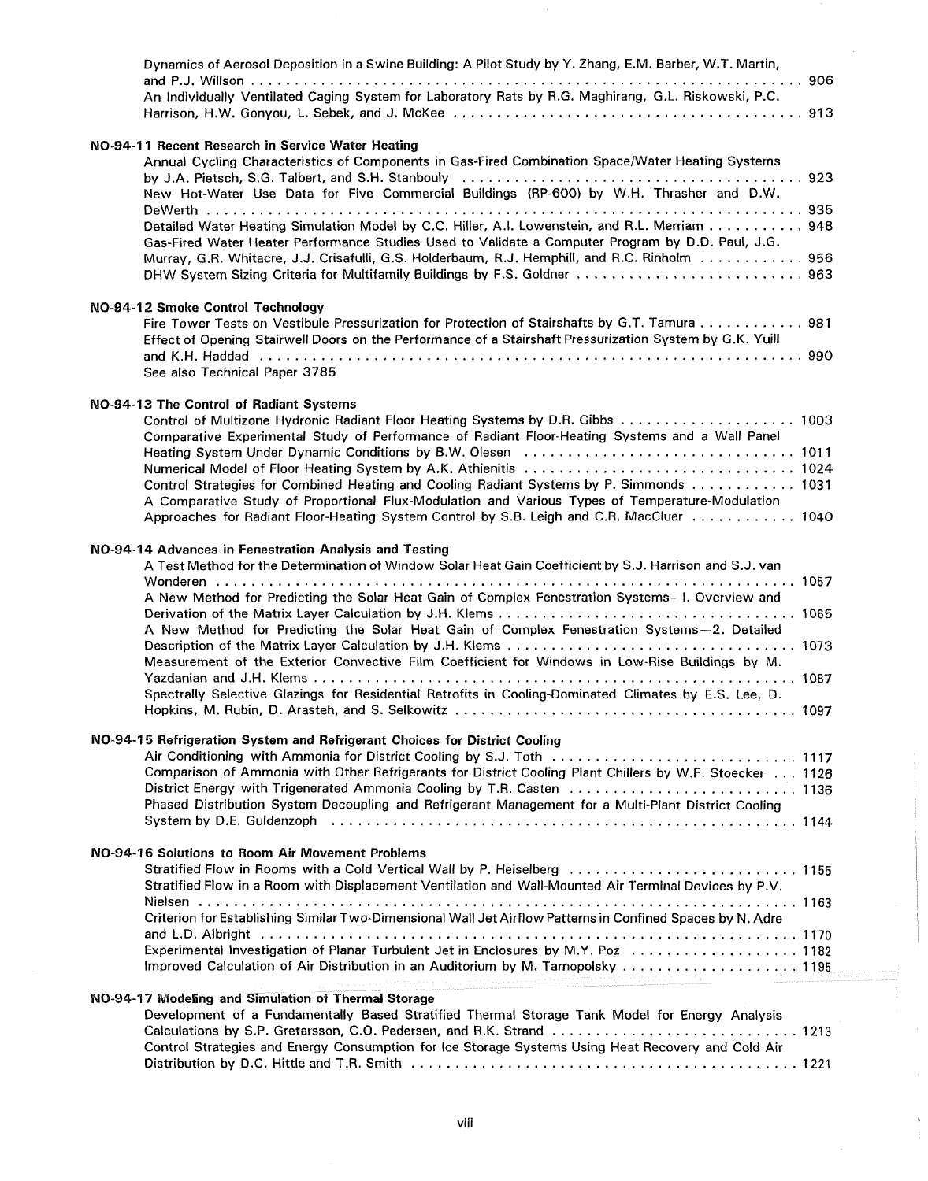| Dynamics of Aerosol Deposition in a Swine Building: A Pilot Study by Y. Zhang, E.M. Barber, W.T. Martin,                                                                                                                                                                                                                                                                                                                                                                              |
|---------------------------------------------------------------------------------------------------------------------------------------------------------------------------------------------------------------------------------------------------------------------------------------------------------------------------------------------------------------------------------------------------------------------------------------------------------------------------------------|
| An Individually Ventilated Caging System for Laboratory Rats by R.G. Maghirang, G.L. Riskowski, P.C.                                                                                                                                                                                                                                                                                                                                                                                  |
|                                                                                                                                                                                                                                                                                                                                                                                                                                                                                       |
| NO-94-11 Recent Research in Service Water Heating<br>Annual Cycling Characteristics of Components in Gas-Fired Combination Space/Water Heating Systems<br>New Hot-Water Use Data for Five Commercial Buildings (RP-600) by W.H. Thrasher and D.W.                                                                                                                                                                                                                                     |
| Detailed Water Heating Simulation Model by C.C. Hiller, A.I. Lowenstein, and R.L. Merriam 948<br>Gas-Fired Water Heater Performance Studies Used to Validate a Computer Program by D.D. Paul, J.G.<br>Murray, G.R. Whitacre, J.J. Crisafulli, G.S. Holderbaum, R.J. Hemphill, and R.C. Rinholm 956                                                                                                                                                                                    |
| NO-94-12 Smoke Control Technology<br>Fire Tower Tests on Vestibule Pressurization for Protection of Stairshafts by G.T. Tamura 981<br>Effect of Opening Stairwell Doors on the Performance of a Stairshaft Pressurization System by G.K. Yuill<br>See also Technical Paper 3785                                                                                                                                                                                                       |
|                                                                                                                                                                                                                                                                                                                                                                                                                                                                                       |
| NO-94-13 The Control of Radiant Systems<br>Comparative Experimental Study of Performance of Radiant Floor-Heating Systems and a Wall Panel<br>Control Strategies for Combined Heating and Cooling Radiant Systems by P. Simmonds 1031<br>A Comparative Study of Proportional Flux-Modulation and Various Types of Temperature-Modulation<br>Approaches for Radiant Floor-Heating System Control by S.B. Leigh and C.R. MacCluer 1040                                                  |
| NO-94-14 Advances in Fenestration Analysis and Testing                                                                                                                                                                                                                                                                                                                                                                                                                                |
| A Test Method for the Determination of Window Solar Heat Gain Coefficient by S.J. Harrison and S.J. van                                                                                                                                                                                                                                                                                                                                                                               |
| A New Method for Predicting the Solar Heat Gain of Complex Fenestration Systems-I. Overview and<br>A New Method for Predicting the Solar Heat Gain of Complex Fenestration Systems-2. Detailed                                                                                                                                                                                                                                                                                        |
| Measurement of the Exterior Convective Film Coefficient for Windows in Low-Rise Buildings by M.                                                                                                                                                                                                                                                                                                                                                                                       |
| Spectrally Selective Glazings for Residential Retrofits in Cooling-Dominated Climates by E.S. Lee, D.<br>1097                                                                                                                                                                                                                                                                                                                                                                         |
| NO-94-15 Refrigeration System and Refrigerant Choices for District Cooling                                                                                                                                                                                                                                                                                                                                                                                                            |
| Air Conditioning with Ammonia for District Cooling by S.J. Toth  1117<br>Comparison of Ammonia with Other Refrigerants for District Cooling Plant Chillers by W.F. Stoecker 1126<br>District Energy with Trigenerated Ammonia Cooling by T.R. Casten  1136<br>Phased Distribution System Decoupling and Refrigerant Management for a Multi-Plant District Cooling<br>System by D.E. Guldenzoph (and account contract of the contract of the contract of the system by D.E. Guldenzoph |
| NO-94-16 Solutions to Room Air Movement Problems                                                                                                                                                                                                                                                                                                                                                                                                                                      |
| Stratified Flow in Rooms with a Cold Vertical Wall by P. Heiselberg  1155<br>Stratified Flow in a Room with Displacement Ventilation and Wall-Mounted Air Terminal Devices by P.V.                                                                                                                                                                                                                                                                                                    |
| Criterion for Establishing Similar Two-Dimensional Wall Jet Airflow Patterns in Confined Spaces by N. Adre                                                                                                                                                                                                                                                                                                                                                                            |
| Experimental Investigation of Planar Turbulent Jet in Enclosures by M.Y. Poz 1182<br>Improved Calculation of Air Distribution in an Auditorium by M. Tarnopolsky 1195                                                                                                                                                                                                                                                                                                                 |
| The experiment of the property of the control of the second theory of the second theory of the second theory of the second theory of the second theory of the second theory of the second theory of the second theory of the s<br>NO-94-17 Modeling and Simulation of Thermal Storage                                                                                                                                                                                                 |
| Development of a Fundamentally Based Stratified Thermal Storage Tank Model for Energy Analysis                                                                                                                                                                                                                                                                                                                                                                                        |
| Calculations by S.P. Gretarsson, C.O. Pedersen, and R.K. Strand  1213<br>Control Strategies and Energy Consumption for Ice Storage Systems Using Heat Recovery and Cold Air                                                                                                                                                                                                                                                                                                           |
|                                                                                                                                                                                                                                                                                                                                                                                                                                                                                       |

 $\frac{1}{3}$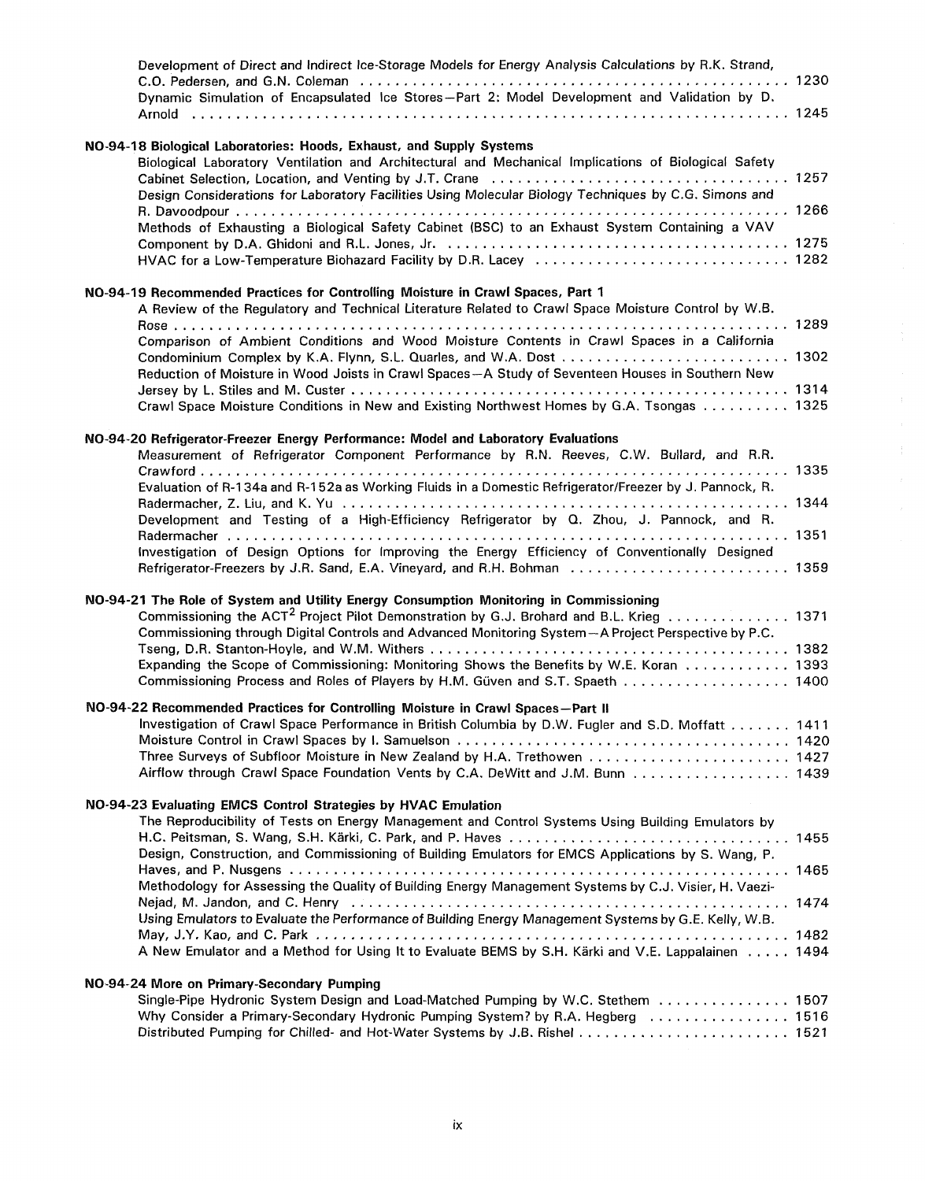| Development of Direct and Indirect Ice-Storage Models for Energy Analysis Calculations by R.K. Strand,                                                                                                    |  |  |
|-----------------------------------------------------------------------------------------------------------------------------------------------------------------------------------------------------------|--|--|
| Dynamic Simulation of Encapsulated Ice Stores-Part 2: Model Development and Validation by D.                                                                                                              |  |  |
|                                                                                                                                                                                                           |  |  |
| NO-94-18 Biological Laboratories: Hoods, Exhaust, and Supply Systems<br>Biological Laboratory Ventilation and Architectural and Mechanical Implications of Biological Safety                              |  |  |
| Design Considerations for Laboratory Facilities Using Molecular Biology Techniques by C.G. Simons and                                                                                                     |  |  |
| Methods of Exhausting a Biological Safety Cabinet (BSC) to an Exhaust System Containing a VAV                                                                                                             |  |  |
|                                                                                                                                                                                                           |  |  |
| NO-94-19 Recommended Practices for Controlling Moisture in Crawl Spaces, Part 1<br>A Review of the Regulatory and Technical Literature Related to Crawl Space Moisture Control by W.B.                    |  |  |
| Comparison of Ambient Conditions and Wood Moisture Contents in Crawl Spaces in a California                                                                                                               |  |  |
| Reduction of Moisture in Wood Joists in Crawl Spaces-A Study of Seventeen Houses in Southern New                                                                                                          |  |  |
| Crawl Space Moisture Conditions in New and Existing Northwest Homes by G.A. Tsongas  1325                                                                                                                 |  |  |
| NO-94-20 Refrigerator-Freezer Energy Performance: Model and Laboratory Evaluations                                                                                                                        |  |  |
| Measurement of Refrigerator Component Performance by R.N. Reeves, C.W. Bullard, and R.R.                                                                                                                  |  |  |
|                                                                                                                                                                                                           |  |  |
| Evaluation of R-134a and R-152a as Working Fluids in a Domestic Refrigerator/Freezer by J. Pannock, R.                                                                                                    |  |  |
| Development and Testing of a High-Efficiency Refrigerator by Q. Zhou, J. Pannock, and R.                                                                                                                  |  |  |
| Investigation of Design Options for Improving the Energy Efficiency of Conventionally Designed                                                                                                            |  |  |
| NO-94-21 The Role of System and Utility Energy Consumption Monitoring in Commissioning                                                                                                                    |  |  |
| Commissioning the ACT <sup>2</sup> Project Pilot Demonstration by G.J. Brohard and B.L. Krieg 1371<br>Commissioning through Digital Controls and Advanced Monitoring System-A Project Perspective by P.C. |  |  |
|                                                                                                                                                                                                           |  |  |
| Expanding the Scope of Commissioning: Monitoring Shows the Benefits by W.E. Koran 1393<br>Commissioning Process and Roles of Players by H.M. Güven and S.T. Spaeth 1400                                   |  |  |
| NO-94-22 Recommended Practices for Controlling Moisture in Crawl Spaces-Part II                                                                                                                           |  |  |
| Investigation of Crawl Space Performance in British Columbia by D.W. Fugler and S.D. Moffatt 1411                                                                                                         |  |  |
| Three Surveys of Subfloor Moisture in New Zealand by H.A. Trethowen  1427                                                                                                                                 |  |  |
| Airflow through Crawl Space Foundation Vents by C.A. DeWitt and J.M. Bunn 1439                                                                                                                            |  |  |
| NO-94-23 Evaluating EMCS Control Strategies by HVAC Emulation                                                                                                                                             |  |  |
| The Reproducibility of Tests on Energy Management and Control Systems Using Building Emulators by                                                                                                         |  |  |
| Design, Construction, and Commissioning of Building Emulators for EMCS Applications by S. Wang, P.                                                                                                        |  |  |
|                                                                                                                                                                                                           |  |  |
| Methodology for Assessing the Quality of Building Energy Management Systems by C.J. Visier, H. Vaezi-                                                                                                     |  |  |
| Using Emulators to Evaluate the Performance of Building Energy Management Systems by G.E. Kelly, W.B.                                                                                                     |  |  |
| A New Emulator and a Method for Using It to Evaluate BEMS by S.H. Kärki and V.E. Lappalainen 1494                                                                                                         |  |  |
| NO-94-24 More on Primary-Secondary Pumping                                                                                                                                                                |  |  |
| Single-Pipe Hydronic System Design and Load-Matched Pumping by W.C. Stethem  1507                                                                                                                         |  |  |
| Why Consider a Primary-Secondary Hydronic Pumping System? by R.A. Hegberg  1516                                                                                                                           |  |  |